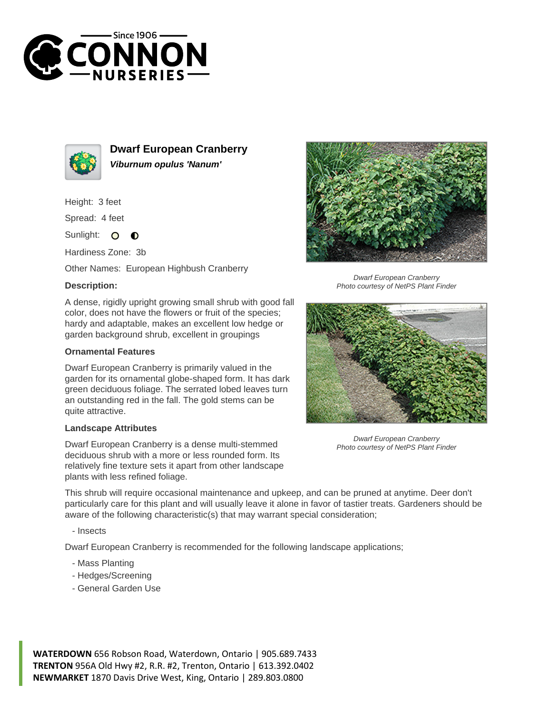



**Dwarf European Cranberry Viburnum opulus 'Nanum'**

Height: 3 feet

Spread: 4 feet

Sunlight:  $\bullet$  $\bullet$ 

Hardiness Zone: 3b

Other Names: European Highbush Cranberry

## **Description:**

A dense, rigidly upright growing small shrub with good fall color, does not have the flowers or fruit of the species; hardy and adaptable, makes an excellent low hedge or garden background shrub, excellent in groupings

## **Ornamental Features**

Dwarf European Cranberry is primarily valued in the garden for its ornamental globe-shaped form. It has dark green deciduous foliage. The serrated lobed leaves turn an outstanding red in the fall. The gold stems can be quite attractive.

## **Landscape Attributes**

Dwarf European Cranberry is a dense multi-stemmed deciduous shrub with a more or less rounded form. Its relatively fine texture sets it apart from other landscape plants with less refined foliage.



Dwarf European Cranberry Photo courtesy of NetPS Plant Finder



Dwarf European Cranberry Photo courtesy of NetPS Plant Finder

This shrub will require occasional maintenance and upkeep, and can be pruned at anytime. Deer don't particularly care for this plant and will usually leave it alone in favor of tastier treats. Gardeners should be aware of the following characteristic(s) that may warrant special consideration;

- Insects

Dwarf European Cranberry is recommended for the following landscape applications;

- Mass Planting
- Hedges/Screening
- General Garden Use

**WATERDOWN** 656 Robson Road, Waterdown, Ontario | 905.689.7433 **TRENTON** 956A Old Hwy #2, R.R. #2, Trenton, Ontario | 613.392.0402 **NEWMARKET** 1870 Davis Drive West, King, Ontario | 289.803.0800